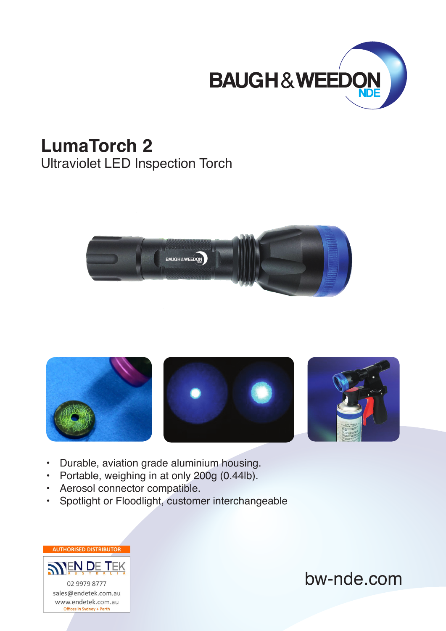

## **LumaTorch 2**

Ultraviolet LED Inspection Torch









- Durable, aviation grade aluminium housing.
- Portable, weighing in at only 200g (0.44lb).
- Aerosol connector compatible.
- Spotlight or Floodlight, customer interchangeable

**AUTHORISED DISTRIBUTOR SNEN DE TEK** 02 9979 8777 sales@endetek.com.au www.endetek.com.au Offices in Sydney + Perth

bw-nde.com